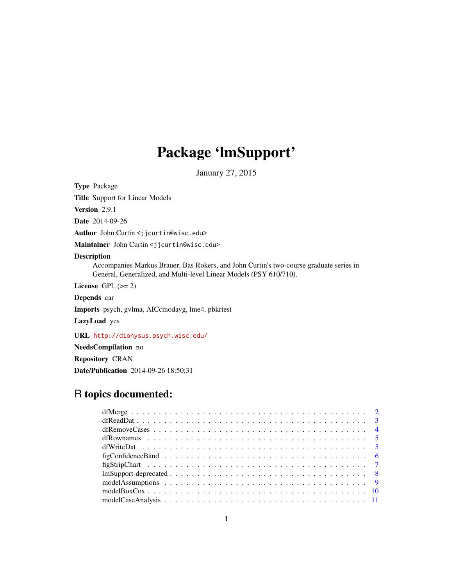## Package 'lmSupport'

January 27, 2015

<span id="page-0-0"></span>Type Package

Title Support for Linear Models

Version 2.9.1

Date 2014-09-26

Author John Curtin <jjcurtin@wisc.edu>

Maintainer John Curtin <jjcurtin@wisc.edu>

### Description

Accompanies Markus Brauer, Bas Rokers, and John Curtin's two-course graduate series in General, Generalized, and Multi-level Linear Models (PSY 610/710).

License GPL  $(>= 2)$ 

Depends car

Imports psych, gvlma, AICcmodavg, lme4, pbkrtest

LazyLoad yes

URL <http://dionysus.psych.wisc.edu/>

NeedsCompilation no

Repository CRAN

Date/Publication 2014-09-26 18:50:31

## R topics documented: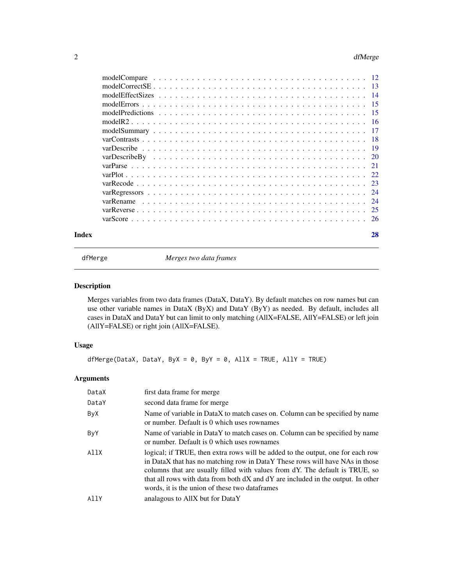#### <span id="page-1-0"></span>2 dfMerge

| Index | 28 |
|-------|----|
|       |    |
|       |    |
|       |    |
|       |    |
|       |    |
|       |    |
|       |    |
|       |    |
|       |    |
|       |    |
|       |    |
|       |    |
|       |    |
|       |    |
|       |    |
|       |    |
|       |    |

<span id="page-1-1"></span>

dfMerge *Merges two data frames*

### Description

Merges variables from two data frames (DataX, DataY). By default matches on row names but can use other variable names in DataX (ByX) and DataY (ByY) as needed. By default, includes all cases in DataX and DataY but can limit to only matching (AllX=FALSE, AllY=FALSE) or left join (AllY=FALSE) or right join (AllX=FALSE).

### Usage

dfMerge(DataX, DataY, ByX = 0, ByY = 0, AllX = TRUE, AllY = TRUE)

### Arguments

| DataX | first data frame for merge                                                                                                                                                                                                                                                                                                                                                            |
|-------|---------------------------------------------------------------------------------------------------------------------------------------------------------------------------------------------------------------------------------------------------------------------------------------------------------------------------------------------------------------------------------------|
| DataY | second data frame for merge                                                                                                                                                                                                                                                                                                                                                           |
| ByX   | Name of variable in DataX to match cases on. Column can be specified by name<br>or number. Default is 0 which uses rownames                                                                                                                                                                                                                                                           |
| ByY   | Name of variable in DataY to match cases on. Column can be specified by name<br>or number. Default is 0 which uses rownames                                                                                                                                                                                                                                                           |
| AllX  | logical; if TRUE, then extra rows will be added to the output, one for each row<br>in DataX that has no matching row in DataY These rows will have NAs in those<br>columns that are usually filled with values from dY. The default is TRUE, so<br>that all rows with data from both dX and dY are included in the output. In other<br>words, it is the union of these two dataframes |
| AllY  | analagous to AllX but for DataY                                                                                                                                                                                                                                                                                                                                                       |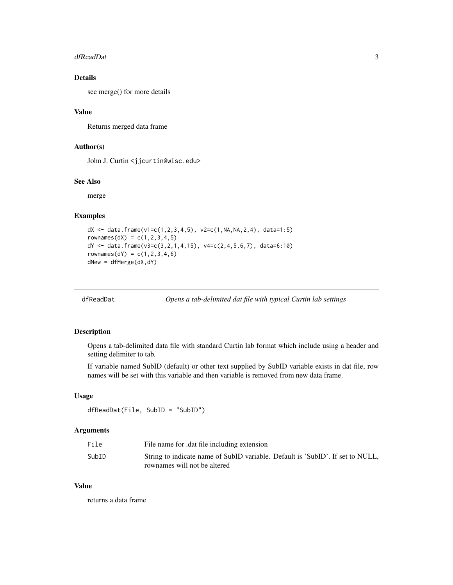#### <span id="page-2-0"></span>dfReadDat 3

### Details

see merge() for more details

#### Value

Returns merged data frame

### Author(s)

John J. Curtin <jjcurtin@wisc.edu>

#### See Also

merge

### Examples

```
dX <- data.frame(v1=c(1,2,3,4,5), v2=c(1,NA,NA,2,4), data=1:5)
rownames(dX) = c(1, 2, 3, 4, 5)dY <- data.frame(v3=c(3,2,1,4,15), v4=c(2,4,5,6,7), data=6:10)
rownames(dY) = c(1, 2, 3, 4, 6)dNew = dfMerge(dX,dY)
```
<span id="page-2-1"></span>

dfReadDat *Opens a tab-delimited dat file with typical Curtin lab settings*

#### Description

Opens a tab-delimited data file with standard Curtin lab format which include using a header and setting delimiter to tab.

If variable named SubID (default) or other text supplied by SubID variable exists in dat file, row names will be set with this variable and then variable is removed from new data frame.

#### Usage

```
dfReadDat(File, SubID = "SubID")
```
### Arguments

| File  | File name for .dat file including extension                                    |
|-------|--------------------------------------------------------------------------------|
| SubID | String to indicate name of SubID variable. Default is 'SubID'. If set to NULL, |
|       | rownames will not be altered                                                   |

### Value

returns a data frame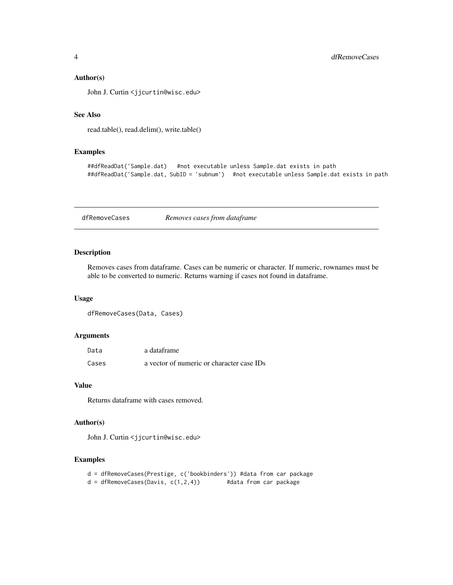#### <span id="page-3-0"></span>Author(s)

John J. Curtin <jjcurtin@wisc.edu>

### See Also

```
read.table(), read.delim(), write.table()
```
#### Examples

```
##dfReadDat('Sample.dat) #not executable unless Sample.dat exists in path
##dfReadDat('Sample.dat, SubID = 'subnum') #not executable unless Sample.dat exists in path
```
<span id="page-3-1"></span>dfRemoveCases *Removes cases from dataframe*

### Description

Removes cases from dataframe. Cases can be numeric or character. If numeric, rownames must be able to be converted to numeric. Returns warning if cases not found in dataframe.

#### Usage

```
dfRemoveCases(Data, Cases)
```
#### Arguments

| Data  | a dataframe                               |
|-------|-------------------------------------------|
| Cases | a vector of numeric or character case IDs |

#### Value

Returns dataframe with cases removed.

### Author(s)

John J. Curtin <jjcurtin@wisc.edu>

- d = dfRemoveCases(Prestige, c('bookbinders')) #data from car package
- d = dfRemoveCases(Davis, c(1,2,4)) #data from car package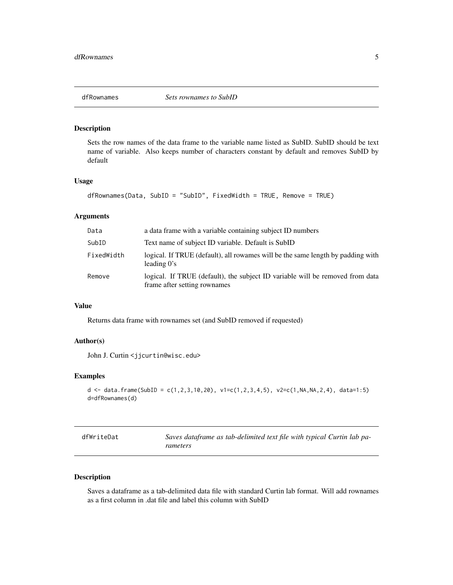<span id="page-4-1"></span><span id="page-4-0"></span>

Sets the row names of the data frame to the variable name listed as SubID. SubID should be text name of variable. Also keeps number of characters constant by default and removes SubID by default

#### Usage

```
dfRownames(Data, SubID = "SubID", FixedWidth = TRUE, Remove = TRUE)
```
#### Arguments

| Data       | a data frame with a variable containing subject ID numbers                                                    |
|------------|---------------------------------------------------------------------------------------------------------------|
| SubID      | Text name of subject ID variable. Default is SubID                                                            |
| FixedWidth | logical. If TRUE (default), all rowames will be the same length by padding with<br>leading $0's$              |
| Remove     | logical. If TRUE (default), the subject ID variable will be removed from data<br>frame after setting rownames |

#### Value

Returns data frame with rownames set (and SubID removed if requested)

### Author(s)

John J. Curtin <jjcurtin@wisc.edu>

### Examples

```
d <- data.frame(SubID = c(1,2,3,10,20), v1=c(1,2,3,4,5), v2=c(1,NA,NA,2,4), data=1:5)
d=dfRownames(d)
```
<span id="page-4-2"></span>

| dfWriteDat | Saves dataframe as tab-delimited text file with typical Curtin lab pa- |
|------------|------------------------------------------------------------------------|
|            | rameters                                                               |

### Description

Saves a dataframe as a tab-delimited data file with standard Curtin lab format. Will add rownames as a first column in .dat file and label this column with SubID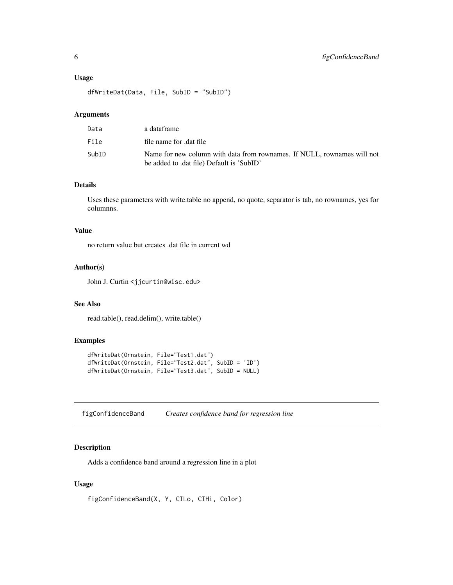#### <span id="page-5-0"></span>Usage

dfWriteDat(Data, File, SubID = "SubID")

#### Arguments

| Data  | a dataframe                                                                                                          |
|-------|----------------------------------------------------------------------------------------------------------------------|
| File  | file name for dat file                                                                                               |
| SubID | Name for new column with data from rownames. If NULL, rownames will not<br>be added to .dat file) Default is 'SubID' |

### Details

Uses these parameters with write.table no append, no quote, separator is tab, no rownames, yes for columnns.

#### Value

no return value but creates .dat file in current wd

### Author(s)

John J. Curtin <jjcurtin@wisc.edu>

### See Also

read.table(), read.delim(), write.table()

### Examples

```
dfWriteDat(Ornstein, File="Test1.dat")
dfWriteDat(Ornstein, File="Test2.dat", SubID = 'ID')
dfWriteDat(Ornstein, File="Test3.dat", SubID = NULL)
```
figConfidenceBand *Creates confidence band for regression line*

#### Description

Adds a confidence band around a regression line in a plot

### Usage

figConfidenceBand(X, Y, CILo, CIHi, Color)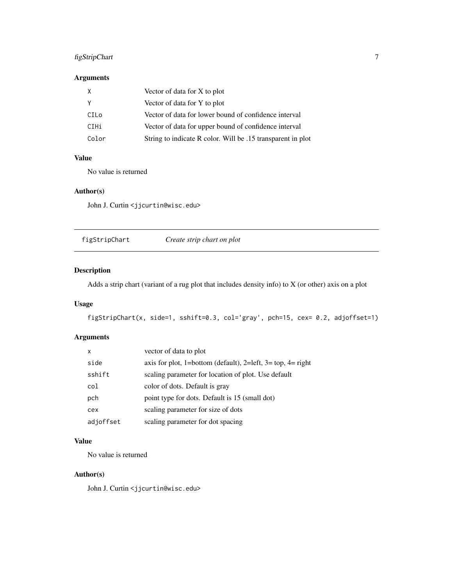### <span id="page-6-0"></span>figStripChart 7

### Arguments

| X     | Vector of data for X to plot                                |
|-------|-------------------------------------------------------------|
| ۷     | Vector of data for Y to plot                                |
| CILo  | Vector of data for lower bound of confidence interval       |
| CIHi  | Vector of data for upper bound of confidence interval       |
| Color | String to indicate R color. Will be .15 transparent in plot |

### Value

No value is returned

### Author(s)

John J. Curtin <jjcurtin@wisc.edu>

<span id="page-6-1"></span>figStripChart *Create strip chart on plot*

### Description

Adds a strip chart (variant of a rug plot that includes density info) to X (or other) axis on a plot

### Usage

```
figStripChart(x, side=1, sshift=0.3, col='gray', pch=15, cex= 0.2, adjoffset=1)
```
### Arguments

| X         | vector of data to plot                                      |
|-----------|-------------------------------------------------------------|
| side      | axis for plot, 1=bottom (default), 2=left, 3= top, 4= right |
| sshift    | scaling parameter for location of plot. Use default         |
| col       | color of dots. Default is gray                              |
| pch       | point type for dots. Default is 15 (small dot)              |
| cex       | scaling parameter for size of dots                          |
| adjoffset | scaling parameter for dot spacing                           |

### Value

No value is returned

### Author(s)

John J. Curtin <jjcurtin@wisc.edu>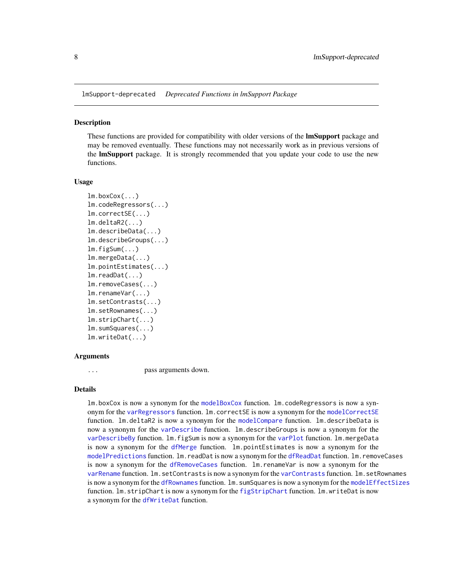<span id="page-7-0"></span>lmSupport-deprecated *Deprecated Functions in lmSupport Package*

#### Description

These functions are provided for compatibility with older versions of the **lmSupport** package and may be removed eventually. These functions may not necessarily work as in previous versions of the **lmSupport** package. It is strongly recommended that you update your code to use the new functions.

#### Usage

```
lm.boxCox(...)
lm.codeRegressors(...)
lm.correctSE(...)
lm.deltaR2(...)lm.describeData(...)
lm.describeGroups(...)
lm.figSum(...)
lm.mergeData(...)
lm.pointEstimates(...)
lm.readDat(...)
lm.removeCases(...)
lm.renameVar(...)
lm.setContrasts(...)
lm.setRownames(...)
lm.stripChart(...)
lm.sumSquares(...)
lm.writeDat(...)
```
#### Arguments

... pass arguments down.

### Details

lm.boxCox is now a synonym for the [modelBoxCox](#page-9-1) function. lm.codeRegressors is now a synonym for the [varRegressors](#page-23-1) function. lm.correctSE is now a synonym for the [modelCorrectSE](#page-12-1) function. lm.deltaR2 is now a synonym for the [modelCompare](#page-11-1) function. lm.describeData is now a synonym for the [varDescribe](#page-18-1) function. lm.describeGroups is now a synonym for the [varDescribeBy](#page-19-1) function. lm. figSum is now a synonym for the [varPlot](#page-21-1) function. lm.mergeData is now a synonym for the [dfMerge](#page-1-1) function. lm.pointEstimates is now a synonym for the [modelPredictions](#page-14-1) function. lm.readDat is now a synonym for the [dfReadDat](#page-2-1) function. lm.removeCases is now a synonym for the [dfRemoveCases](#page-3-1) function. lm.renameVar is now a synonym for the [varRename](#page-23-2) function. lm.setContrasts is now a synonym for the [varContrasts](#page-17-1) function. lm.setRownames is now a synonym for the [dfRownames](#page-4-1) function.  $lm.$  sumSquares is now a synonym for the [modelEffectSizes](#page-13-1) function. lm.stripChart is now a synonym for the [figStripChart](#page-6-1) function. lm.writeDat is now a synonym for the [dfWriteDat](#page-4-2) function.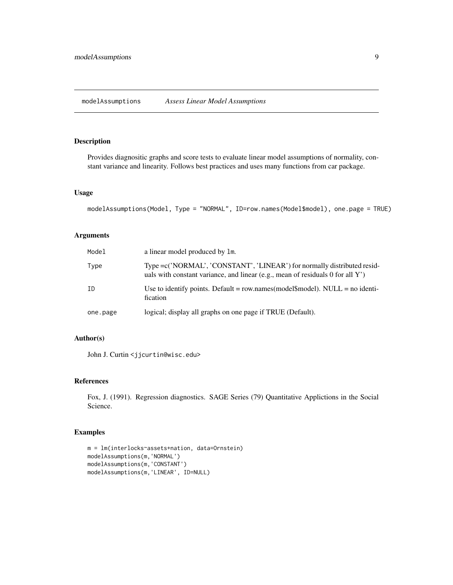<span id="page-8-0"></span>Provides diagnositic graphs and score tests to evaluate linear model assumptions of normality, constant variance and linearity. Follows best practices and uses many functions from car package.

#### Usage

```
modelAssumptions(Model, Type = "NORMAL", ID=row.names(Model$model), one.page = TRUE)
```
### Arguments

| Model    | a linear model produced by 1m.                                                                                                                             |
|----------|------------------------------------------------------------------------------------------------------------------------------------------------------------|
| Type     | Type = c('NORMAL', 'CONSTANT', 'LINEAR') for normally distributed resid-<br>uals with constant variance, and linear (e.g., mean of residuals 0 for all Y') |
| ΙD       | Use to identify points. Default = row.names(model\$model). NULL = no identi-<br>fication                                                                   |
| one.page | logical; display all graphs on one page if TRUE (Default).                                                                                                 |

### Author(s)

John J. Curtin <jjcurtin@wisc.edu>

#### References

Fox, J. (1991). Regression diagnostics. SAGE Series (79) Quantitative Applictions in the Social Science.

```
m = lm(interlocks~assets+nation, data=Ornstein)
modelAssumptions(m,'NORMAL')
modelAssumptions(m,'CONSTANT')
modelAssumptions(m,'LINEAR', ID=NULL)
```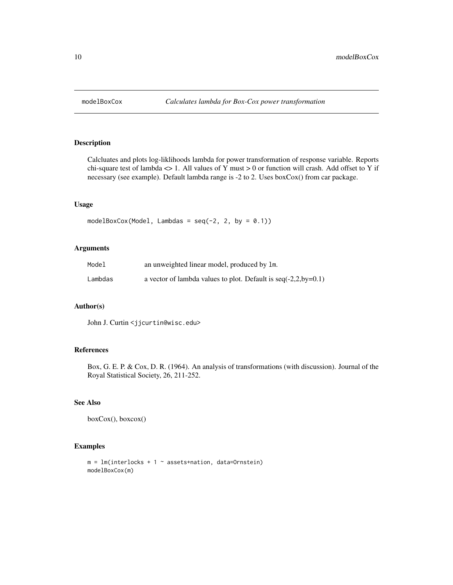<span id="page-9-1"></span><span id="page-9-0"></span>

Calcluates and plots log-liklihoods lambda for power transformation of response variable. Reports chi-square test of lambda  $\langle$  > 1. All values of Y must > 0 or function will crash. Add offset to Y if necessary (see example). Default lambda range is -2 to 2. Uses boxCox() from car package.

#### Usage

```
modelBoxCox(Model, Lambdas = seq(-2, 2, by = 0.1))
```
### Arguments

| Model   | an unweighted linear model, produced by 1m.                      |
|---------|------------------------------------------------------------------|
| Lambdas | a vector of lambda values to plot. Default is $seq(-2,2,by=0.1)$ |

#### Author(s)

John J. Curtin <jjcurtin@wisc.edu>

### References

Box, G. E. P. & Cox, D. R. (1964). An analysis of transformations (with discussion). Journal of the Royal Statistical Society, 26, 211-252.

### See Also

```
boxCox(), boxcox()
```

```
m = lm(interlocks + 1 ~* assets + nation, data=Ornstein)modelBoxCox(m)
```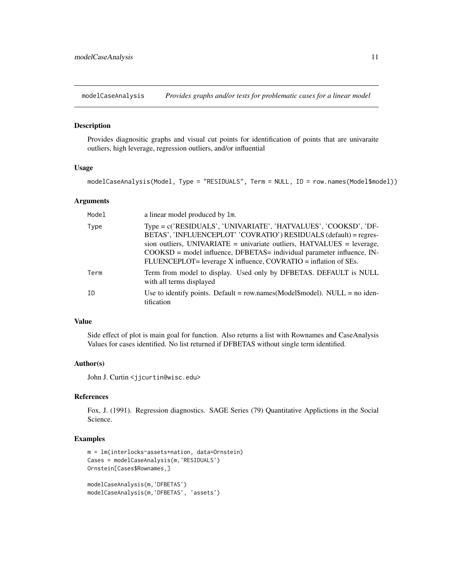<span id="page-10-0"></span>modelCaseAnalysis *Provides graphs and/or tests for problematic cases for a linear model*

### Description

Provides diagnositic graphs and visual cut points for identification of points that are univaraite outliers, high leverage, regression outliers, and/or influential

#### Usage

modelCaseAnalysis(Model, Type = "RESIDUALS", Term = NULL, ID = row.names(Model\$model))

#### Arguments

| Model | a linear model produced by 1m.                                                                                                                                                                                                                                                                                                                                  |
|-------|-----------------------------------------------------------------------------------------------------------------------------------------------------------------------------------------------------------------------------------------------------------------------------------------------------------------------------------------------------------------|
| Type  | Type = c('RESIDUALS', 'UNIVARIATE', 'HATVALUES', 'COOKSD', 'DF-<br>BETAS', 'INFLUENCEPLOT' 'COVRATIO') RESIDUALS (default) = regres-<br>sion outliers, UNIVARIATE = univariate outliers, $HATVALUES$ = leverage,<br>$COOKSD$ = model influence, DFBETAS= individual parameter influence, IN-<br>FLUENCEPLOT= leverage X influence, COVRATIO = inflation of SEs. |
| Term  | Term from model to display. Used only by DFBETAS. DEFAULT is NULL<br>with all terms displayed                                                                                                                                                                                                                                                                   |
| TD    | Use to identify points. Default = row.names(Model\$model). NULL = no iden-<br>tification                                                                                                                                                                                                                                                                        |

### Value

Side effect of plot is main goal for function. Also returns a list with Rownames and CaseAnalysis Values for cases identified. No list returned if DFBETAS without single term identified.

#### Author(s)

John J. Curtin <jjcurtin@wisc.edu>

#### References

Fox, J. (1991). Regression diagnostics. SAGE Series (79) Quantitative Applictions in the Social Science.

```
m = lm(interlocks~assets+nation, data=Ornstein)
Cases = modelCaseAnalysis(m,'RESIDUALS')
Ornstein[Cases$Rownames,]
modelCaseAnalysis(m,'DFBETAS')
modelCaseAnalysis(m,'DFBETAS', 'assets')
```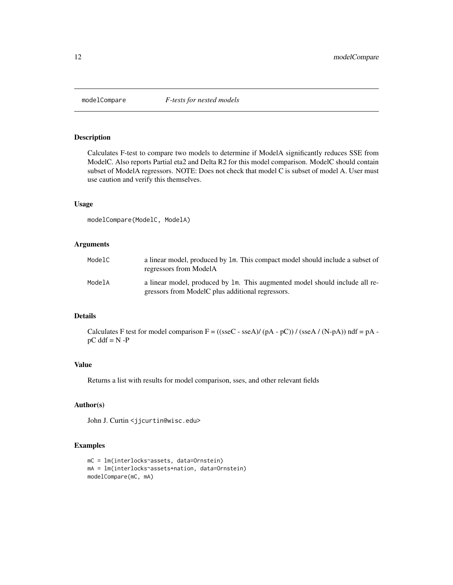<span id="page-11-1"></span><span id="page-11-0"></span>

Calculates F-test to compare two models to determine if ModelA significantly reduces SSE from ModelC. Also reports Partial eta2 and Delta R2 for this model comparison. ModelC should contain subset of ModelA regressors. NOTE: Does not check that model C is subset of model A. User must use caution and verify this themselves.

#### Usage

```
modelCompare(ModelC, ModelA)
```
### Arguments

| ModelC | a linear model, produced by 1m. This compact model should include a subset of<br>regressors from ModelA                         |
|--------|---------------------------------------------------------------------------------------------------------------------------------|
| ModelA | a linear model, produced by 1m. This augmented model should include all re-<br>gressors from ModelC plus additional regressors. |

#### Details

Calculates F test for model comparison  $F = ((\text{sseC} - \text{sseA})/(pA - pC))/(\text{sseA}/(N-pA))$  ndf = pA  $pC$  ddf =  $N - P$ 

#### Value

Returns a list with results for model comparison, sses, and other relevant fields

#### Author(s)

John J. Curtin <jjcurtin@wisc.edu>

```
mC = lm(interlocks~assets, data=Ornstein)
mA = lm(interlocks~assets+nation, data=Ornstein)
modelCompare(mC, mA)
```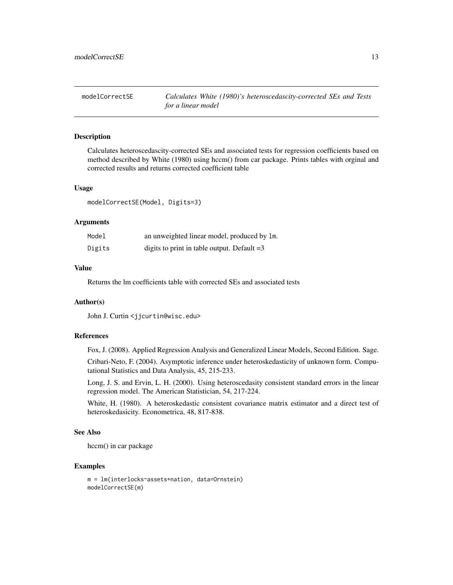<span id="page-12-1"></span><span id="page-12-0"></span>modelCorrectSE *Calculates White (1980)'s heteroscedascity-corrected SEs and Tests for a linear model*

#### Description

Calculates heteroscedascity-corrected SEs and associated tests for regression coefficients based on method described by White (1980) using hccm() from car package. Prints tables with orginal and corrected results and returns corrected coefficient table

#### Usage

modelCorrectSE(Model, Digits=3)

#### Arguments

| Model  | an unweighted linear model, produced by 1m.   |
|--------|-----------------------------------------------|
| Digits | digits to print in table output. Default $=3$ |

### Value

Returns the lm coefficients table with corrected SEs and associated tests

#### Author(s)

John J. Curtin <jjcurtin@wisc.edu>

#### References

Fox, J. (2008). Applied Regression Analysis and Generalized Linear Models, Second Edition. Sage.

Cribari-Neto, F. (2004). Asymptotic inference under heteroskedasticity of unknown form. Computational Statistics and Data Analysis, 45, 215-233.

Long, J. S. and Ervin, L. H. (2000). Using heteroscedasity consistent standard errors in the linear regression model. The American Statistician, 54, 217-224.

White, H. (1980). A heteroskedastic consistent covariance matrix estimator and a direct test of heteroskedasicity. Econometrica, 48, 817-838.

#### See Also

hccm() in car package

```
m = lm(interlocks~assets+nation, data=Ornstein)
modelCorrectSE(m)
```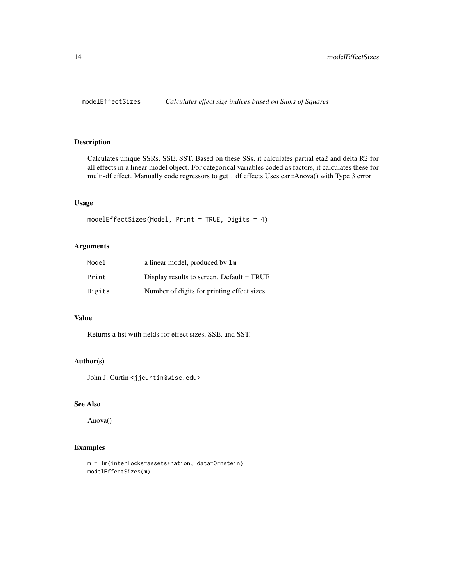<span id="page-13-1"></span><span id="page-13-0"></span>

Calculates unique SSRs, SSE, SST. Based on these SSs, it calculates partial eta2 and delta R2 for all effects in a linear model object. For categorical variables coded as factors, it calculates these for multi-df effect. Manually code regressors to get 1 df effects Uses car::Anova() with Type 3 error

### Usage

```
modelEffectSizes(Model, Print = TRUE, Digits = 4)
```
### Arguments

| Model  | a linear model, produced by 1m             |
|--------|--------------------------------------------|
| Print  | Display results to screen. Default = TRUE  |
| Digits | Number of digits for printing effect sizes |

#### Value

Returns a list with fields for effect sizes, SSE, and SST.

### Author(s)

John J. Curtin <jjcurtin@wisc.edu>

#### See Also

Anova()

```
m = lm(interlocks~assets+nation, data=Ornstein)
modelEffectSizes(m)
```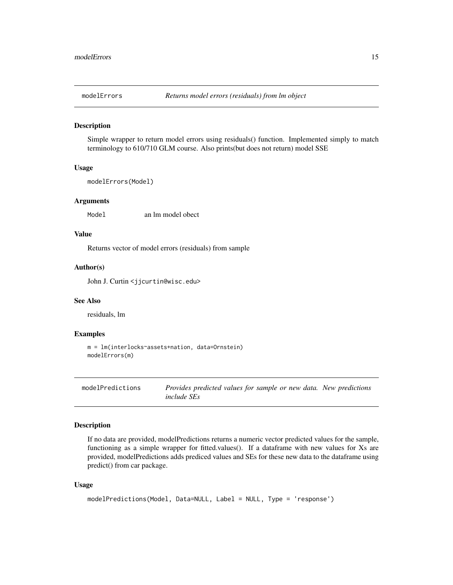<span id="page-14-0"></span>

Simple wrapper to return model errors using residuals() function. Implemented simply to match terminology to 610/710 GLM course. Also prints(but does not return) model SSE

#### Usage

```
modelErrors(Model)
```
#### Arguments

Model an lm model obect

#### Value

Returns vector of model errors (residuals) from sample

### Author(s)

John J. Curtin <jjcurtin@wisc.edu>

#### See Also

residuals, lm

### Examples

```
m = lm(interlocks~assets+nation, data=Ornstein)
modelErrors(m)
```

```
modelPredictions Provides predicted values for sample or new data. New predictions
                        include SEs
```
#### Description

If no data are provided, modelPredictions returns a numeric vector predicted values for the sample, functioning as a simple wrapper for fitted.values(). If a dataframe with new values for Xs are provided, modelPredictions adds prediced values and SEs for these new data to the dataframe using predict() from car package.

#### Usage

```
modelPredictions(Model, Data=NULL, Label = NULL, Type = 'response')
```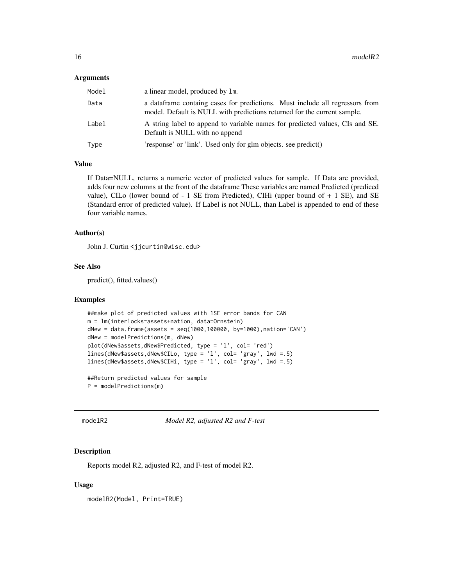#### <span id="page-15-0"></span>**Arguments**

| Model | a linear model, produced by 1m.                                                                                                                           |
|-------|-----------------------------------------------------------------------------------------------------------------------------------------------------------|
| Data  | a data frame containg cases for predictions. Must include all regressors from<br>model. Default is NULL with predictions returned for the current sample. |
| Label | A string label to append to variable names for predicted values, CIs and SE.<br>Default is NULL with no append                                            |
| Type  | 'response' or 'link'. Used only for glm objects. see predict()                                                                                            |

### Value

If Data=NULL, returns a numeric vector of predicted values for sample. If Data are provided, adds four new columns at the front of the dataframe These variables are named Predicted (prediced value), CILo (lower bound of  $-1$  SE from Predicted), CIHi (upper bound of  $+1$  SE), and SE (Standard error of predicted value). If Label is not NULL, than Label is appended to end of these four variable names.

#### Author(s)

John J. Curtin <jjcurtin@wisc.edu>

#### See Also

predict(), fitted.values()

#### Examples

```
##make plot of predicted values with 1SE error bands for CAN
m = lm(interlocks~assets+nation, data=Ornstein)
dNew = data.frame(assets = seq(1000,100000, by=1000),nation='CAN')
dNew = modelPredictions(m, dNew)
plot(dNew$assets,dNew$Predicted, type = 'l', col= 'red')
lines(dNew$assets,dNew$CILo, type = 'l', col= 'gray', lwd =.5)
lines(dNew$assets,dNew$CIHi, type = 'l', col= 'gray', lwd =.5)
```
##Return predicted values for sample P = modelPredictions(m)

modelR2 *Model R2, adjusted R2 and F-test*

#### Description

Reports model R2, adjusted R2, and F-test of model R2.

#### Usage

modelR2(Model, Print=TRUE)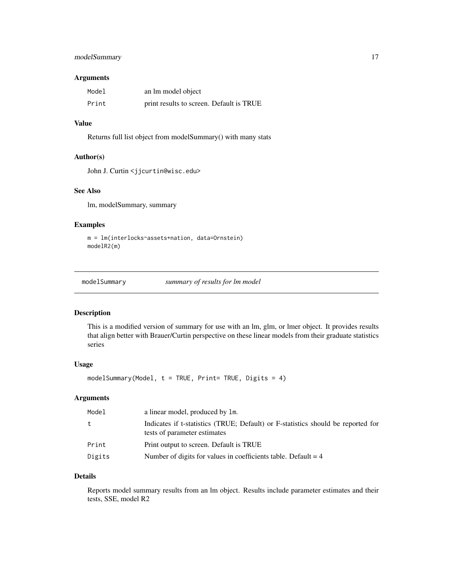### <span id="page-16-0"></span>modelSummary 17

### Arguments

| Model | an lm model object                       |
|-------|------------------------------------------|
| Print | print results to screen. Default is TRUE |

### Value

Returns full list object from modelSummary() with many stats

#### Author(s)

John J. Curtin <jjcurtin@wisc.edu>

### See Also

lm, modelSummary, summary

### Examples

```
m = lm(interlocks~assets+nation, data=Ornstein)
modelR2(m)
```
modelSummary *summary of results for lm model*

### Description

This is a modified version of summary for use with an lm, glm, or lmer object. It provides results that align better with Brauer/Curtin perspective on these linear models from their graduate statistics series

#### Usage

modelSummary(Model,  $t = TRUE$ , Print= TRUE, Digits = 4)

### Arguments

| Model  | a linear model, produced by 1m.                                                                                  |
|--------|------------------------------------------------------------------------------------------------------------------|
| t      | Indicates if t-statistics (TRUE; Default) or F-statistics should be reported for<br>tests of parameter estimates |
| Print  | Print output to screen. Default is TRUE                                                                          |
| Digits | Number of digits for values in coefficients table. Default $= 4$                                                 |

### Details

Reports model summary results from an lm object. Results include parameter estimates and their tests, SSE, model R2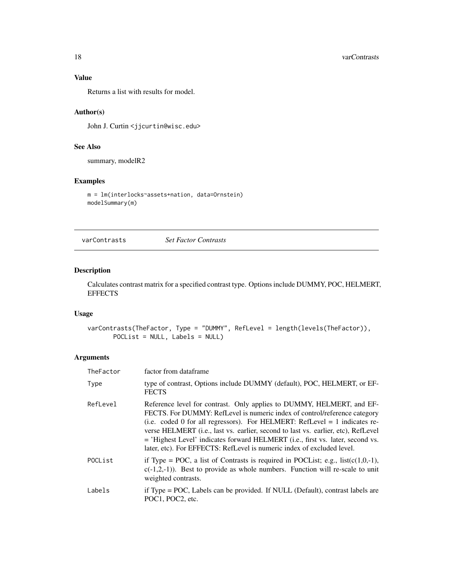### Value

Returns a list with results for model.

### Author(s)

John J. Curtin <jjcurtin@wisc.edu>

### See Also

summary, modelR2

### Examples

```
m = lm(interlocks~assets+nation, data=Ornstein)
modelSummary(m)
```
<span id="page-17-1"></span>varContrasts *Set Factor Contrasts*

### Description

Calculates contrast matrix for a specified contrast type. Options include DUMMY, POC, HELMERT, **EFFECTS** 

### Usage

```
varContrasts(TheFactor, Type = "DUMMY", RefLevel = length(levels(TheFactor)),
      POCList = NULL, Labels = NULL)
```
### Arguments

| TheFactor | factor from dataframe                                                                                                                                                                                                                                                                                                                                                                                                                                                                        |
|-----------|----------------------------------------------------------------------------------------------------------------------------------------------------------------------------------------------------------------------------------------------------------------------------------------------------------------------------------------------------------------------------------------------------------------------------------------------------------------------------------------------|
| Type      | type of contrast, Options include DUMMY (default), POC, HELMERT, or EF-<br><b>FECTS</b>                                                                                                                                                                                                                                                                                                                                                                                                      |
| RefLevel  | Reference level for contrast. Only applies to DUMMY, HELMERT, and EF-<br>FECTS. For DUMMY: RefLevel is numeric index of control/reference category<br>(i.e. coded 0 for all regressors). For HELMERT: RefLevel $= 1$ indicates re-<br>verse HELMERT ( <i>i.e.</i> , last vs. earlier, second to last vs. earlier, etc), RefLevel<br>= 'Highest Level' indicates forward HELMERT (i.e., first vs. later, second vs.<br>later, etc). For EFFECTS: RefLevel is numeric index of excluded level. |
| POCList   | if Type = POC, a list of Contrasts is required in POCList; e.g., $list(c(1,0,-1))$ ,<br>$c(-1,2,-1)$ ). Best to provide as whole numbers. Function will re-scale to unit<br>weighted contrasts.                                                                                                                                                                                                                                                                                              |
| Labels    | if Type = POC, Labels can be provided. If NULL (Default), contrast labels are<br>POC1. POC2. etc.                                                                                                                                                                                                                                                                                                                                                                                            |

<span id="page-17-0"></span>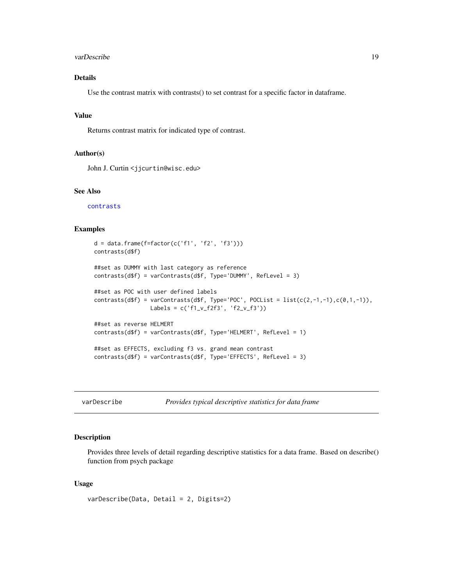#### <span id="page-18-0"></span>varDescribe 19

### Details

Use the contrast matrix with contrasts() to set contrast for a specific factor in dataframe.

### Value

Returns contrast matrix for indicated type of contrast.

#### Author(s)

John J. Curtin <jjcurtin@wisc.edu>

### See Also

[contrasts](#page-0-0)

### Examples

```
d = data-frame(f = factor(c('f1', 'f2', 'f3')))contrasts(d$f)
##set as DUMMY with last category as reference
contrasts(d$f) = varContrasts(d$f, Type='DUMMY', RefLevel = 3)
##set as POC with user defined labels
contrasts(d$f) = varContrasts(d$f, Type='POC', POCList = list(c(2,-1,-1),c(0,1,-1)),
                 Labels = c('f1_v_f2f3', 'f2_v_f3'))
##set as reverse HELMERT
contrasts(d$f) = varContrasts(d$f, Type='HELMERT', RefLevel = 1)
##set as EFFECTS, excluding f3 vs. grand mean contrast
contrasts(d$f) = varContrasts(d$f, Type='EFFECTS', RefLevel = 3)
```
<span id="page-18-1"></span>

Provides typical descriptive statistics for data frame

#### Description

Provides three levels of detail regarding descriptive statistics for a data frame. Based on describe() function from psych package

### Usage

```
varDescribe(Data, Detail = 2, Digits=2)
```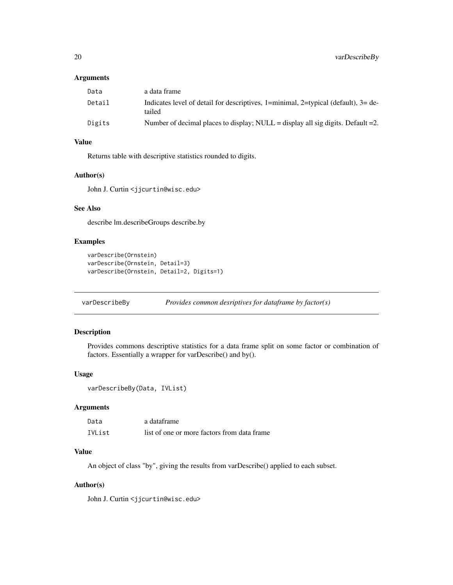#### <span id="page-19-0"></span>Arguments

| Data   | a data frame                                                                                   |
|--------|------------------------------------------------------------------------------------------------|
| Detail | Indicates level of detail for descriptives, 1=minimal, 2=typical (default), $3=$ de-<br>tailed |
| Digits | Number of decimal places to display; NULL = display all sig digits. Default = 2.               |

### Value

Returns table with descriptive statistics rounded to digits.

#### Author(s)

John J. Curtin <jjcurtin@wisc.edu>

### See Also

describe lm.describeGroups describe.by

#### Examples

```
varDescribe(Ornstein)
varDescribe(Ornstein, Detail=3)
varDescribe(Ornstein, Detail=2, Digits=1)
```
<span id="page-19-1"></span>varDescribeBy *Provides common desriptives for dataframe by factor(s)*

### Description

Provides commons descriptive statistics for a data frame split on some factor or combination of factors. Essentially a wrapper for varDescribe() and by().

#### Usage

```
varDescribeBy(Data, IVList)
```
### Arguments

| Data   | a dataframe                                 |
|--------|---------------------------------------------|
| IVList | list of one or more factors from data frame |

### Value

An object of class "by", giving the results from varDescribe() applied to each subset.

#### Author(s)

John J. Curtin <jjcurtin@wisc.edu>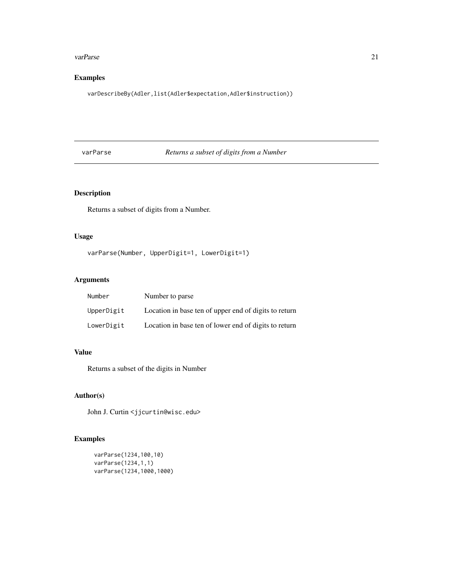#### <span id="page-20-0"></span>varParse 21

### Examples

varDescribeBy(Adler,list(Adler\$expectation,Adler\$instruction))

### varParse *Returns a subset of digits from a Number*

### Description

Returns a subset of digits from a Number.

### Usage

```
varParse(Number, UpperDigit=1, LowerDigit=1)
```
### Arguments

| <b>Number</b> | Number to parse                                       |
|---------------|-------------------------------------------------------|
| UpperDigit    | Location in base ten of upper end of digits to return |
| LowerDigit    | Location in base ten of lower end of digits to return |

#### Value

Returns a subset of the digits in Number

### Author(s)

John J. Curtin <jjcurtin@wisc.edu>

```
varParse(1234,100,10)
varParse(1234,1,1)
varParse(1234,1000,1000)
```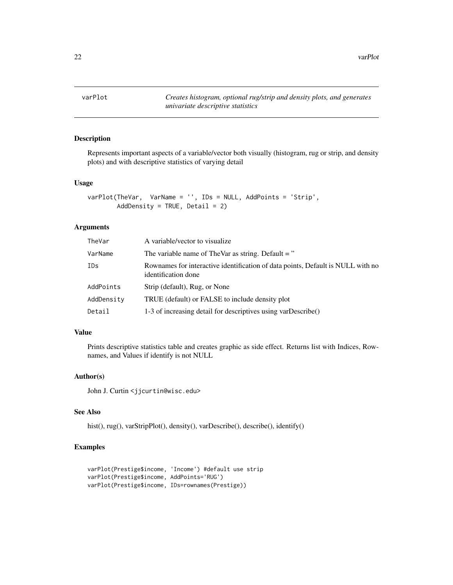<span id="page-21-0"></span>22 varPlot

<span id="page-21-1"></span>varPlot *Creates histogram, optional rug/strip and density plots, and generates univariate descriptive statistics*

### Description

Represents important aspects of a variable/vector both visually (histogram, rug or strip, and density plots) and with descriptive statistics of varying detail

#### Usage

```
varPlot(TheVar, VarName = '', IDs = NULL, AddPoints = 'Strip',
       AddDensity = TRUE, Detail = 2)
```
### Arguments

| TheVar     | A variable/vector to visualize                                                                         |
|------------|--------------------------------------------------------------------------------------------------------|
| VarName    | The variable name of TheVar as string. Default = $"$                                                   |
| <b>IDs</b> | Rownames for interactive identification of data points, Default is NULL with no<br>identification done |
| AddPoints  | Strip (default), Rug, or None                                                                          |
| AddDensity | TRUE (default) or FALSE to include density plot                                                        |
| Detail     | 1-3 of increasing detail for descriptives using varDescribe()                                          |

### Value

Prints descriptive statistics table and creates graphic as side effect. Returns list with Indices, Rownames, and Values if identify is not NULL

### Author(s)

John J. Curtin <jjcurtin@wisc.edu>

### See Also

hist(), rug(), varStripPlot(), density(), varDescribe(), describe(), identify()

```
varPlot(Prestige$income, 'Income') #default use strip
varPlot(Prestige$income, AddPoints='RUG')
varPlot(Prestige$income, IDs=rownames(Prestige))
```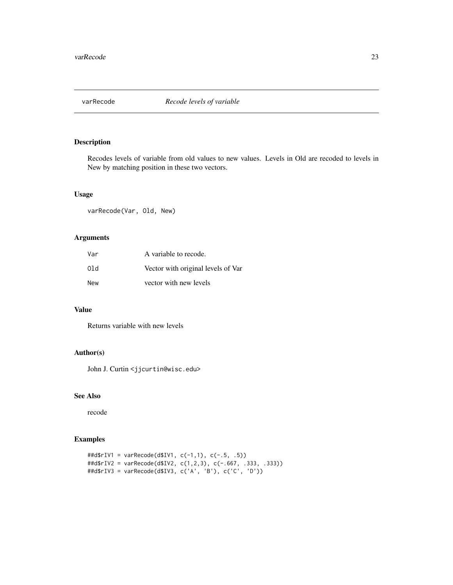<span id="page-22-0"></span>

Recodes levels of variable from old values to new values. Levels in Old are recoded to levels in New by matching position in these two vectors.

### Usage

varRecode(Var, Old, New)

### Arguments

| Var        | A variable to recode.              |
|------------|------------------------------------|
| 014        | Vector with original levels of Var |
| <b>New</b> | vector with new levels             |

### Value

Returns variable with new levels

### Author(s)

John J. Curtin <jjcurtin@wisc.edu>

### See Also

recode

```
##d$rIV1 = varRecode(d$IV1, c(-1,1), c(-.5, .5))
##d$rIV2 = varRecode(d$IV2, c(1,2,3), c(-.667, .333, .333))
##d$rIV3 = varRecode(d$IV3, c('A', 'B'), c('C', 'D'))
```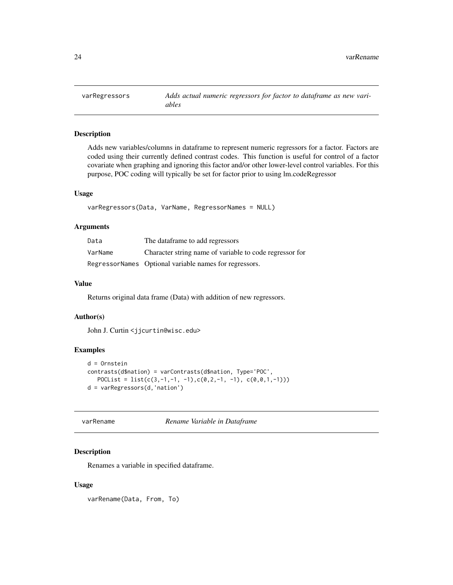<span id="page-23-1"></span><span id="page-23-0"></span>

Adds new variables/columns in dataframe to represent numeric regressors for a factor. Factors are coded using their currently defined contrast codes. This function is useful for control of a factor covariate when graphing and ignoring this factor and/or other lower-level control variables. For this purpose, POC coding will typically be set for factor prior to using lm.codeRegressor

### Usage

```
varRegressors(Data, VarName, RegressorNames = NULL)
```
### Arguments

| Data    | The dataframe to add regressors                         |
|---------|---------------------------------------------------------|
| VarName | Character string name of variable to code regressor for |
|         | RegressorNames Optional variable names for regressors.  |

### Value

Returns original data frame (Data) with addition of new regressors.

### Author(s)

John J. Curtin <jjcurtin@wisc.edu>

### Examples

```
d = Ornstein
contrasts(d$nation) = varContrasts(d$nation, Type='POC',
   POCList = list(c(3,-1,-1, -1),c(0,2,-1, -1), c(0,0,1,-1)))
d = varRegressors(d,'nation')
```
<span id="page-23-2"></span>varRename *Rename Variable in Dataframe*

#### Description

Renames a variable in specified dataframe.

#### Usage

varRename(Data, From, To)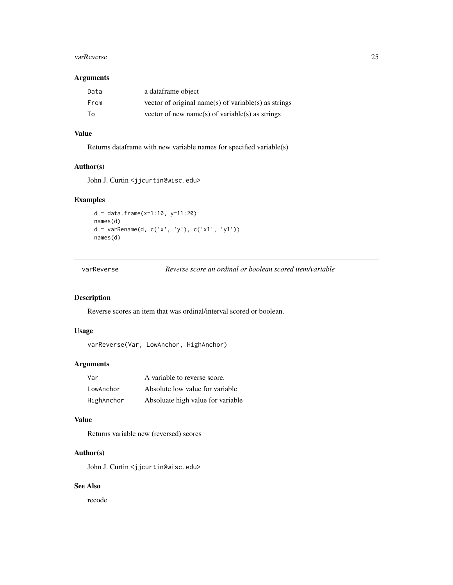#### <span id="page-24-0"></span>varReverse 25

#### Arguments

| Data | a dataframe object                                   |
|------|------------------------------------------------------|
| From | vector of original name(s) of variable(s) as strings |
| To   | vector of new name(s) of variable(s) as strings      |

### Value

Returns dataframe with new variable names for specified variable(s)

### Author(s)

John J. Curtin <jjcurtin@wisc.edu>

### Examples

```
d = data.frame(x=1:10, y=11:20)
names(d)
d = varRename(d, c('x', 'y'), c('x1', 'y1'))
names(d)
```

| varReverse | Reverse score an ordinal or boolean scored item/variable |  |  |
|------------|----------------------------------------------------------|--|--|
|------------|----------------------------------------------------------|--|--|

### Description

Reverse scores an item that was ordinal/interval scored or boolean.

### Usage

```
varReverse(Var, LowAnchor, HighAnchor)
```
### Arguments

| Var        | A variable to reverse score.      |
|------------|-----------------------------------|
| LowAnchor  | Absolute low value for variable   |
| HighAnchor | Absoluate high value for variable |

### Value

Returns variable new (reversed) scores

### Author(s)

John J. Curtin <jjcurtin@wisc.edu>

### See Also

recode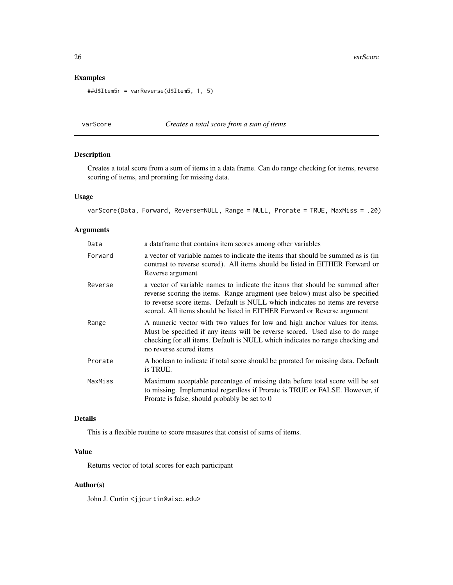### Examples

```
##d$Item5r = varReverse(d$Item5, 1, 5)
```
### varScore *Creates a total score from a sum of items*

### Description

Creates a total score from a sum of items in a data frame. Can do range checking for items, reverse scoring of items, and prorating for missing data.

#### Usage

```
varScore(Data, Forward, Reverse=NULL, Range = NULL, Prorate = TRUE, MaxMiss = .20)
```
#### Arguments

| Data    | a data frame that contains item scores among other variables                                                                                                                                                                                                                                                             |
|---------|--------------------------------------------------------------------------------------------------------------------------------------------------------------------------------------------------------------------------------------------------------------------------------------------------------------------------|
| Forward | a vector of variable names to indicate the items that should be summed as is (in<br>contrast to reverse scored). All items should be listed in EITHER Forward or<br>Reverse argument                                                                                                                                     |
| Reverse | a vector of variable names to indicate the items that should be summed after<br>reverse scoring the items. Range arugment (see below) must also be specified<br>to reverse score items. Default is NULL which indicates no items are reverse<br>scored. All items should be listed in EITHER Forward or Reverse argument |
| Range   | A numeric vector with two values for low and high anchor values for items.<br>Must be specified if any items will be reverse scored. Used also to do range<br>checking for all items. Default is NULL which indicates no range checking and<br>no reverse scored items                                                   |
| Prorate | A boolean to indicate if total score should be prorated for missing data. Default<br>is TRUE.                                                                                                                                                                                                                            |
| MaxMiss | Maximum acceptable percentage of missing data before total score will be set<br>to missing. Implemented regardless if Prorate is TRUE or FALSE. However, if<br>Prorate is false, should probably be set to 0                                                                                                             |

### Details

This is a flexible routine to score measures that consist of sums of items.

### Value

Returns vector of total scores for each participant

#### Author(s)

John J. Curtin <jjcurtin@wisc.edu>

<span id="page-25-0"></span>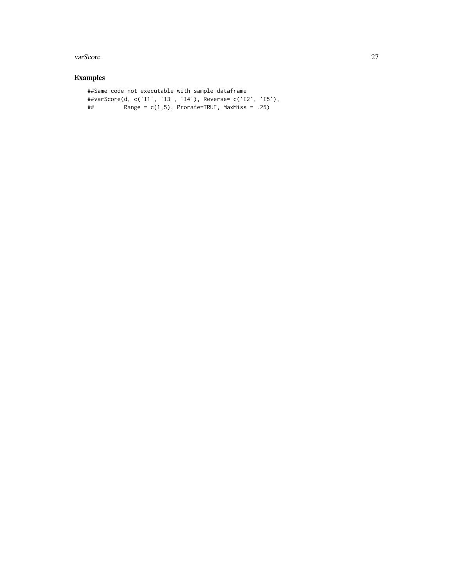#### varScore 27

```
##Same code not executable with sample dataframe
##varScore(d, c('I1', 'I3', 'I4'), Reverse= c('I2', 'I5'),
## Range = c(1,5), Prorate=TRUE, MaxMiss = .25)
```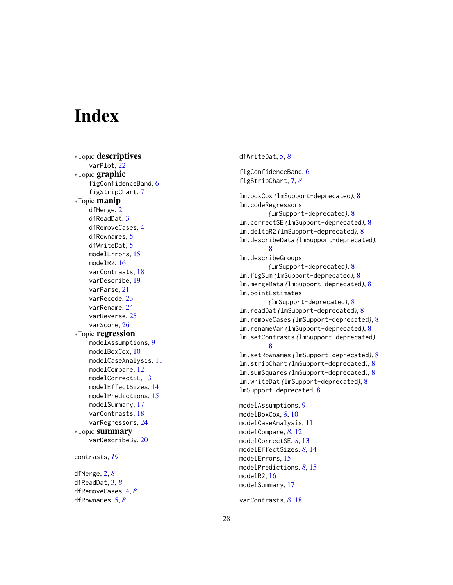# <span id="page-27-0"></span>**Index**

∗Topic descriptives varPlot , [22](#page-21-0) ∗Topic graphic figConfidenceBand , [6](#page-5-0) figStripChart , [7](#page-6-0) ∗Topic manip dfMerge , [2](#page-1-0) dfReadDat , [3](#page-2-0) dfRemoveCases , [4](#page-3-0) dfRownames , [5](#page-4-0) dfWriteDat , [5](#page-4-0) modelErrors , [15](#page-14-0) modelR2 , [16](#page-15-0) varContrasts , [18](#page-17-0) varDescribe , [19](#page-18-0) varParse , [21](#page-20-0) varRecode , [23](#page-22-0) varRename , [24](#page-23-0) varReverse, [25](#page-24-0) varScore, [26](#page-25-0) ∗Topic regression modelAssumptions , [9](#page-8-0) modelBoxCox, [10](#page-9-0) modelCaseAnalysis , [11](#page-10-0) modelCompare, [12](#page-11-0) modelCorrectSE , [13](#page-12-0) modelEffectSizes , [14](#page-13-0) modelPredictions , [15](#page-14-0) modelSummary, [17](#page-16-0) varContrasts , [18](#page-17-0) varRegressors , [24](#page-23-0) ∗Topic summary varDescribeBy , [20](#page-19-0) contrasts , *[19](#page-18-0)* dfMerge , [2](#page-1-0) , *[8](#page-7-0)* dfReadDat , [3](#page-2-0) , *[8](#page-7-0)* dfRemoveCases , [4](#page-3-0) , *[8](#page-7-0)*

dfRownames , [5](#page-4-0) , *[8](#page-7-0)*

dfWriteDat , [5](#page-4-0) , *[8](#page-7-0)*

figConfidenceBand, [6](#page-5-0) figStripChart , [7](#page-6-0) , *[8](#page-7-0)* lm.boxCox *(*lmSupport-deprecated *)* , [8](#page-7-0) lm.codeRegressors *(*lmSupport-deprecated *)* , [8](#page-7-0) lm.correctSE *(*lmSupport-deprecated *)* , [8](#page-7-0) lm.deltaR2 *(*lmSupport-deprecated *)* , [8](#page-7-0) lm.describeData *(*lmSupport-deprecated *)* , [8](#page-7-0) lm.describeGroups *(*lmSupport-deprecated *)* , [8](#page-7-0) lm.figSum *(*lmSupport-deprecated *)* , [8](#page-7-0) lm.mergeData *(*lmSupport-deprecated *)* , [8](#page-7-0) lm.pointEstimates *(*lmSupport-deprecated *)* , [8](#page-7-0) lm.readDat *(*lmSupport-deprecated *)* , [8](#page-7-0) lm.removeCases *(*lmSupport-deprecated *)* , [8](#page-7-0) lm.renameVar *(*lmSupport-deprecated *)* , [8](#page-7-0) lm.setContrasts *(*lmSupport-deprecated *)* , [8](#page-7-0) lm.setRownames *(*lmSupport-deprecated *)* , [8](#page-7-0) lm.stripChart *(*lmSupport-deprecated *)* , [8](#page-7-0) lm.sumSquares *(*lmSupport-deprecated *)* , [8](#page-7-0) lm.writeDat *(*lmSupport-deprecated *)* , [8](#page-7-0) lmSupport-deprecated , [8](#page-7-0)

modelAssumptions , [9](#page-8-0) modelBoxCox , *[8](#page-7-0)* , [10](#page-9-0) modelCaseAnalysis , [11](#page-10-0) modelCompare , *[8](#page-7-0)* , [12](#page-11-0) modelCorrectSE , *[8](#page-7-0)* , [13](#page-12-0) modelEffectSizes , *[8](#page-7-0)* , [14](#page-13-0) modelErrors, [15](#page-14-0) modelPredictions , *[8](#page-7-0)* , [15](#page-14-0) modelR2 , [16](#page-15-0) modelSummary , [17](#page-16-0)

varContrasts , *[8](#page-7-0)* , [18](#page-17-0)